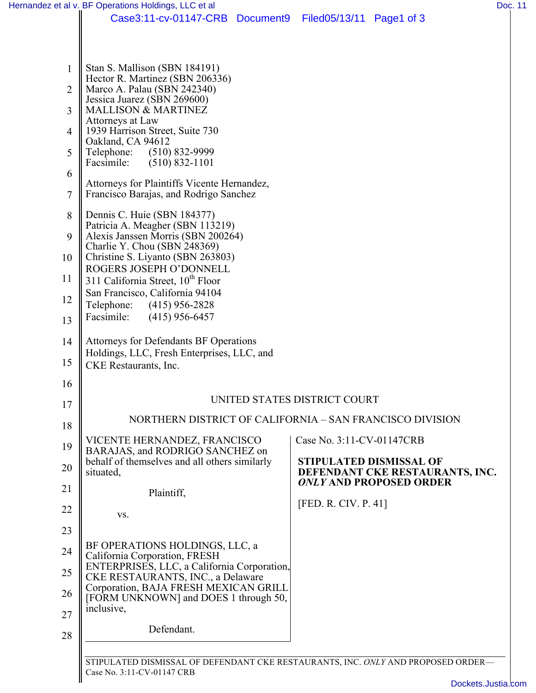|                | Hernandez et al v. BF Operations Holdings, LLC et al                                  |                       |                                |                                                                   | Doc. 11 |
|----------------|---------------------------------------------------------------------------------------|-----------------------|--------------------------------|-------------------------------------------------------------------|---------|
|                | Case3:11-cv-01147-CRB                                                                 | Document <sub>9</sub> | Filed05/13/11 Page1 of 3       |                                                                   |         |
|                |                                                                                       |                       |                                |                                                                   |         |
|                |                                                                                       |                       |                                |                                                                   |         |
| 1              | Stan S. Mallison (SBN 184191)<br>Hector R. Martinez (SBN 206336)                      |                       |                                |                                                                   |         |
| $\overline{2}$ | Marco A. Palau (SBN 242340)<br>Jessica Juarez (SBN 269600)                            |                       |                                |                                                                   |         |
| 3              | <b>MALLISON &amp; MARTINEZ</b><br>Attorneys at Law                                    |                       |                                |                                                                   |         |
| $\overline{4}$ | 1939 Harrison Street, Suite 730                                                       |                       |                                |                                                                   |         |
| 5              | Oakland, CA 94612<br>$(510) 832 - 9999$<br>Telephone:                                 |                       |                                |                                                                   |         |
| 6              | $(510) 832 - 1101$<br>Facsimile:                                                      |                       |                                |                                                                   |         |
| 7              | Attorneys for Plaintiffs Vicente Hernandez,<br>Francisco Barajas, and Rodrigo Sanchez |                       |                                |                                                                   |         |
| 8              | Dennis C. Huie (SBN 184377)                                                           |                       |                                |                                                                   |         |
| 9              | Patricia A. Meagher (SBN 113219)<br>Alexis Janssen Morris (SBN 200264)                |                       |                                |                                                                   |         |
| 10             | Charlie Y. Chou (SBN 248369)<br>Christine S. Liyanto (SBN 263803)                     |                       |                                |                                                                   |         |
|                | ROGERS JOSEPH O'DONNELL                                                               |                       |                                |                                                                   |         |
| 11             | 311 California Street, 10 <sup>th</sup> Floor<br>San Francisco, California 94104      |                       |                                |                                                                   |         |
| 12             | Telephone:<br>$(415)$ 956-2828                                                        |                       |                                |                                                                   |         |
| 13             | Facsimile:<br>$(415)$ 956-6457                                                        |                       |                                |                                                                   |         |
| 14             | Attorneys for Defendants BF Operations                                                |                       |                                |                                                                   |         |
| 15             | Holdings, LLC, Fresh Enterprises, LLC, and<br>CKE Restaurants, Inc.                   |                       |                                |                                                                   |         |
| 16             |                                                                                       |                       |                                |                                                                   |         |
| 17             |                                                                                       |                       | UNITED STATES DISTRICT COURT   |                                                                   |         |
| 18             | NORTHERN DISTRICT OF CALIFORNIA - SAN FRANCISCO DIVISION                              |                       |                                |                                                                   |         |
| 19             | VICENTE HERNANDEZ, FRANCISCO                                                          |                       | Case No. 3:11-CV-01147CRB      |                                                                   |         |
|                | BARAJAS, and RODRIGO SANCHEZ on<br>behalf of themselves and all others similarly      |                       | <b>STIPULATED DISMISSAL OF</b> |                                                                   |         |
| 20             | situated,                                                                             |                       |                                | DEFENDANT CKE RESTAURANTS, INC.<br><b>ONLY AND PROPOSED ORDER</b> |         |
| 21             | Plaintiff.                                                                            |                       |                                |                                                                   |         |
| 22             | VS.                                                                                   |                       | [FED. R. CIV. P. 41]           |                                                                   |         |
| 23             |                                                                                       |                       |                                |                                                                   |         |
| 24             | BF OPERATIONS HOLDINGS, LLC, a<br>California Corporation, FRESH                       |                       |                                |                                                                   |         |
| 25             | ENTERPRISES, LLC, a California Corporation,                                           |                       |                                |                                                                   |         |
| 26             | CKE RESTAURANTS, INC., a Delaware<br>Corporation, BAJA FRÉSH MEXICAN GRILL            |                       |                                |                                                                   |         |
|                | [FORM UNKNOWN] and DOES 1 through 50,<br>inclusive,                                   |                       |                                |                                                                   |         |
| 27             | Defendant.                                                                            |                       |                                |                                                                   |         |
| 28             |                                                                                       |                       |                                |                                                                   |         |
|                | CTIDI IL ATED DICMICCAL OE DEEEMDANT CIZE DECTALIDANTC. INC. ONI VAND DRODOCED ODDER  |                       |                                |                                                                   |         |

STIPULATED DISMISSAL OF DEFENDANT CKE RESTAURANTS, INC. *ONLY* AND PROPOSED ORDER— Case No. 3:11-CV-01147 CRB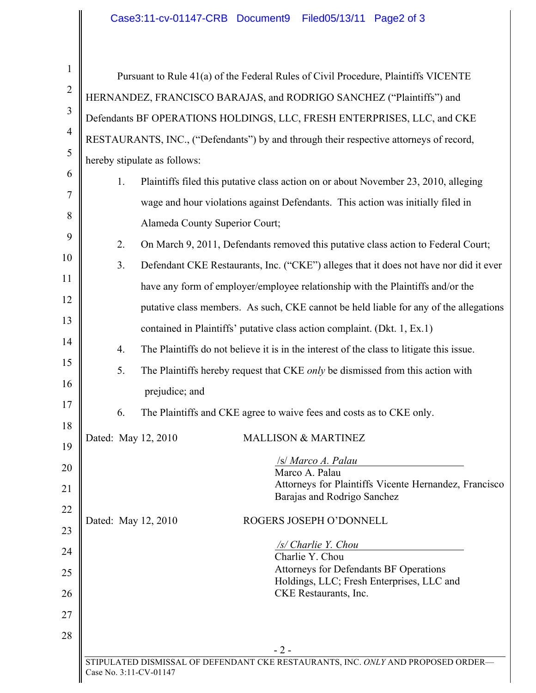|                                                                      |                                                                                           |                              | Pursuant to Rule 41(a) of the Federal Rules of Civil Procedure, Plaintiffs VICENTE       |  |  |  |
|----------------------------------------------------------------------|-------------------------------------------------------------------------------------------|------------------------------|------------------------------------------------------------------------------------------|--|--|--|
| HERNANDEZ, FRANCISCO BARAJAS, and RODRIGO SANCHEZ ("Plaintiffs") and |                                                                                           |                              |                                                                                          |  |  |  |
|                                                                      |                                                                                           |                              | Defendants BF OPERATIONS HOLDINGS, LLC, FRESH ENTERPRISES, LLC, and CKE                  |  |  |  |
|                                                                      |                                                                                           |                              | RESTAURANTS, INC., ("Defendants") by and through their respective attorneys of record,   |  |  |  |
|                                                                      |                                                                                           | hereby stipulate as follows: |                                                                                          |  |  |  |
|                                                                      | Plaintiffs filed this putative class action on or about November 23, 2010, alleging<br>1. |                              |                                                                                          |  |  |  |
|                                                                      |                                                                                           |                              | wage and hour violations against Defendants. This action was initially filed in          |  |  |  |
|                                                                      |                                                                                           |                              | Alameda County Superior Court;                                                           |  |  |  |
|                                                                      | 2.                                                                                        |                              | On March 9, 2011, Defendants removed this putative class action to Federal Court;        |  |  |  |
|                                                                      | 3.                                                                                        |                              | Defendant CKE Restaurants, Inc. ("CKE") alleges that it does not have nor did it ever    |  |  |  |
|                                                                      |                                                                                           |                              | have any form of employer/employee relationship with the Plaintiffs and/or the           |  |  |  |
|                                                                      |                                                                                           |                              | putative class members. As such, CKE cannot be held liable for any of the allegations    |  |  |  |
|                                                                      |                                                                                           |                              | contained in Plaintiffs' putative class action complaint. (Dkt. 1, Ex.1)                 |  |  |  |
|                                                                      | 4.                                                                                        |                              | The Plaintiffs do not believe it is in the interest of the class to litigate this issue. |  |  |  |
|                                                                      | 5.                                                                                        |                              | The Plaintiffs hereby request that CKE <i>only</i> be dismissed from this action with    |  |  |  |
|                                                                      |                                                                                           | prejudice; and               |                                                                                          |  |  |  |
|                                                                      | 6.                                                                                        |                              | The Plaintiffs and CKE agree to waive fees and costs as to CKE only.                     |  |  |  |
|                                                                      |                                                                                           | Dated: May 12, 2010          | <b>MALLISON &amp; MARTINEZ</b>                                                           |  |  |  |
|                                                                      |                                                                                           |                              | /s/ Marco A. Palau                                                                       |  |  |  |
|                                                                      |                                                                                           |                              | Marco A. Palau<br>Attorneys for Plaintiffs Vicente Hernandez, Francisco                  |  |  |  |
|                                                                      |                                                                                           |                              | Barajas and Rodrigo Sanchez                                                              |  |  |  |
|                                                                      |                                                                                           | Dated: May 12, 2010          | ROGERS JOSEPH O'DONNELL                                                                  |  |  |  |
|                                                                      |                                                                                           |                              | /s/ Charlie Y. Chou                                                                      |  |  |  |
|                                                                      |                                                                                           |                              | Charlie Y. Chou<br>Attorneys for Defendants BF Operations                                |  |  |  |
|                                                                      |                                                                                           |                              | Holdings, LLC; Fresh Enterprises, LLC and<br>CKE Restaurants, Inc.                       |  |  |  |
|                                                                      |                                                                                           |                              |                                                                                          |  |  |  |
|                                                                      |                                                                                           |                              |                                                                                          |  |  |  |
|                                                                      |                                                                                           |                              | $-2-$                                                                                    |  |  |  |